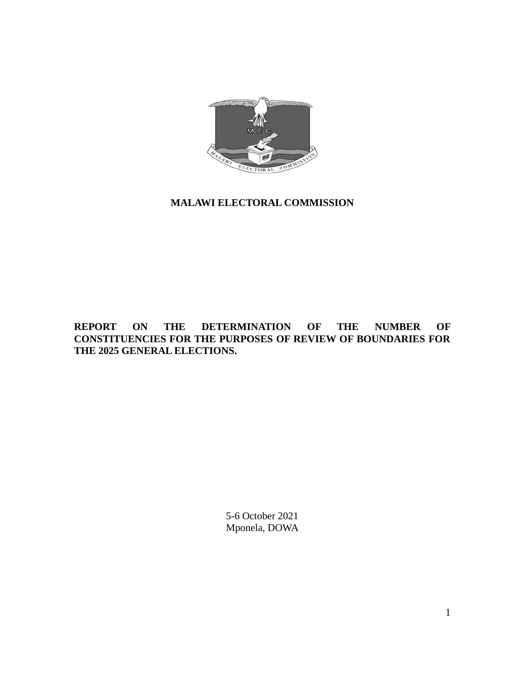

# **MALAWI ELECTORAL COMMISSION**

# **REPORT ON THE DETERMINATION OF THE NUMBER OF CONSTITUENCIES FOR THE PURPOSES OF REVIEW OF BOUNDARIES FOR THE 2025 GENERAL ELECTIONS.**

5-6 October 2021 Mponela, DOWA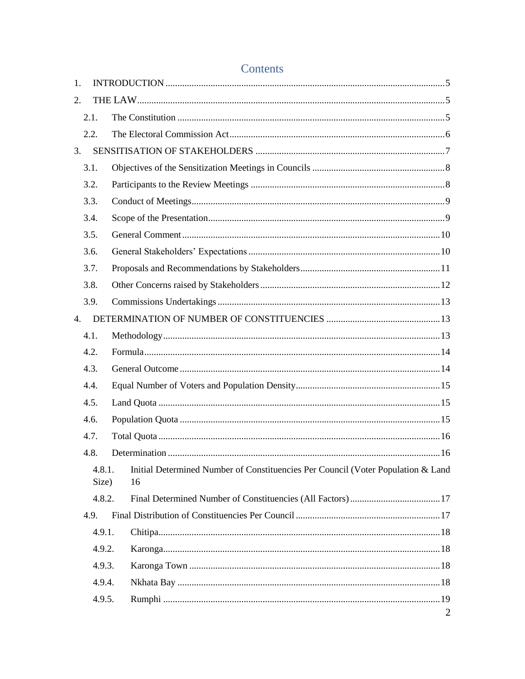| 1. |        |                                                                                  |                |
|----|--------|----------------------------------------------------------------------------------|----------------|
| 2. |        |                                                                                  |                |
|    | 2.1.   |                                                                                  |                |
|    | 2.2.   |                                                                                  |                |
| 3. |        |                                                                                  |                |
|    | 3.1.   |                                                                                  |                |
|    | 3.2.   |                                                                                  |                |
|    | 3.3.   |                                                                                  |                |
|    | 3.4.   |                                                                                  |                |
|    | 3.5.   |                                                                                  |                |
|    | 3.6.   |                                                                                  |                |
|    | 3.7.   |                                                                                  |                |
|    | 3.8.   |                                                                                  |                |
|    | 3.9.   |                                                                                  |                |
| 4. |        |                                                                                  |                |
|    | 4.1.   |                                                                                  |                |
|    | 4.2.   |                                                                                  |                |
|    | 4.3.   |                                                                                  |                |
|    | 4.4.   |                                                                                  |                |
|    | 4.5.   |                                                                                  |                |
|    | 4.6.   |                                                                                  |                |
|    | 4.7.   |                                                                                  |                |
|    | 4.8.   |                                                                                  |                |
|    | 4.8.1. | Initial Determined Number of Constituencies Per Council (Voter Population & Land |                |
|    | Size)  | 16                                                                               |                |
|    | 4.8.2. |                                                                                  |                |
|    | 4.9.   |                                                                                  |                |
|    | 4.9.1. |                                                                                  |                |
|    | 4.9.2. |                                                                                  |                |
|    | 4.9.3. |                                                                                  |                |
|    | 4.9.4. |                                                                                  |                |
|    | 4.9.5. |                                                                                  | $\overline{2}$ |
|    |        |                                                                                  |                |

# Contents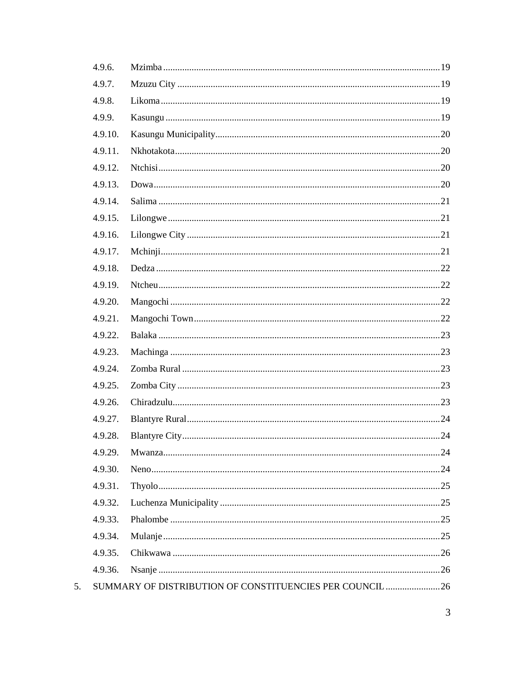| 4.9.6.                                                   |  |  |  |  |
|----------------------------------------------------------|--|--|--|--|
| 4.9.7.                                                   |  |  |  |  |
| 4.9.8.                                                   |  |  |  |  |
| 4.9.9.                                                   |  |  |  |  |
| 4.9.10.                                                  |  |  |  |  |
| 4.9.11.                                                  |  |  |  |  |
| 4.9.12.                                                  |  |  |  |  |
| 4.9.13.                                                  |  |  |  |  |
| 4.9.14.                                                  |  |  |  |  |
| 4.9.15.                                                  |  |  |  |  |
| 4.9.16.                                                  |  |  |  |  |
| 4.9.17.                                                  |  |  |  |  |
| 4.9.18.                                                  |  |  |  |  |
| 4.9.19.                                                  |  |  |  |  |
| 4.9.20.                                                  |  |  |  |  |
| 4.9.21.                                                  |  |  |  |  |
| 4.9.22.                                                  |  |  |  |  |
| 4.9.23.                                                  |  |  |  |  |
| 4.9.24.                                                  |  |  |  |  |
| 4.9.25.                                                  |  |  |  |  |
| 4.9.26.                                                  |  |  |  |  |
| 4.9.27.                                                  |  |  |  |  |
| 4.9.28.                                                  |  |  |  |  |
| 4.9.29.                                                  |  |  |  |  |
| 4.9.30.                                                  |  |  |  |  |
| 4.9.31.                                                  |  |  |  |  |
| 4.9.32.                                                  |  |  |  |  |
| 4.9.33.                                                  |  |  |  |  |
| 4.9.34.                                                  |  |  |  |  |
| 4.9.35.                                                  |  |  |  |  |
| 4.9.36.                                                  |  |  |  |  |
| SUMMARY OF DISTRIBUTION OF CONSTITUENCIES PER COUNCIL 26 |  |  |  |  |

5.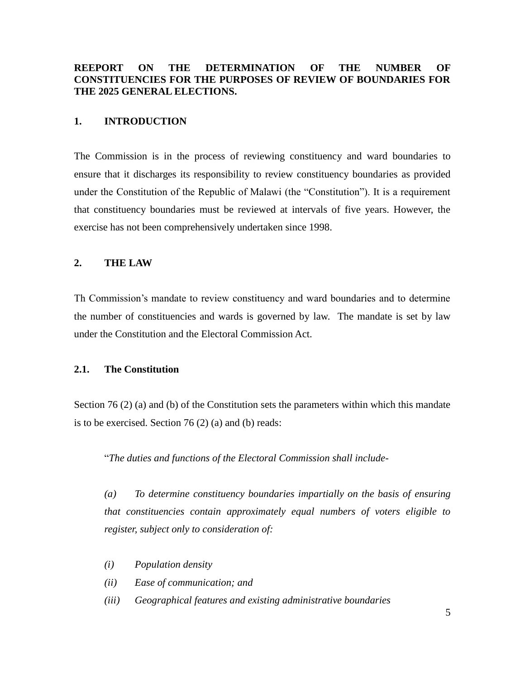# **REEPORT ON THE DETERMINATION OF THE NUMBER OF CONSTITUENCIES FOR THE PURPOSES OF REVIEW OF BOUNDARIES FOR THE 2025 GENERAL ELECTIONS.**

#### <span id="page-4-0"></span>**1. INTRODUCTION**

The Commission is in the process of reviewing constituency and ward boundaries to ensure that it discharges its responsibility to review constituency boundaries as provided under the Constitution of the Republic of Malawi (the "Constitution"). It is a requirement that constituency boundaries must be reviewed at intervals of five years. However, the exercise has not been comprehensively undertaken since 1998.

#### <span id="page-4-1"></span>**2. THE LAW**

Th Commission's mandate to review constituency and ward boundaries and to determine the number of constituencies and wards is governed by law. The mandate is set by law under the Constitution and the Electoral Commission Act.

# <span id="page-4-2"></span>**2.1. The Constitution**

Section 76 (2) (a) and (b) of the Constitution sets the parameters within which this mandate is to be exercised. Section 76 (2) (a) and (b) reads:

"*The duties and functions of the Electoral Commission shall include-*

*(a) To determine constituency boundaries impartially on the basis of ensuring that constituencies contain approximately equal numbers of voters eligible to register, subject only to consideration of:*

- *(i) Population density*
- *(ii) Ease of communication; and*
- *(iii) Geographical features and existing administrative boundaries*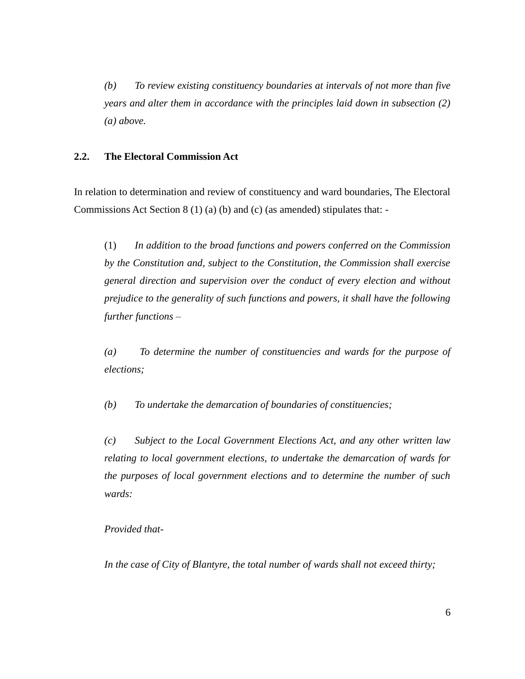*(b) To review existing constituency boundaries at intervals of not more than five years and alter them in accordance with the principles laid down in subsection (2) (a) above.*

# <span id="page-5-0"></span>**2.2. The Electoral Commission Act**

In relation to determination and review of constituency and ward boundaries, The Electoral Commissions Act Section 8 (1) (a) (b) and (c) (as amended) stipulates that: -

(1) *In addition to the broad functions and powers conferred on the Commission by the Constitution and, subject to the Constitution, the Commission shall exercise general direction and supervision over the conduct of every election and without prejudice to the generality of such functions and powers, it shall have the following further functions –* 

*(a) To determine the number of constituencies and wards for the purpose of elections;*

*(b) To undertake the demarcation of boundaries of constituencies;*

*(c) Subject to the Local Government Elections Act, and any other written law relating to local government elections, to undertake the demarcation of wards for the purposes of local government elections and to determine the number of such wards:*

## *Provided that-*

*In the case of City of Blantyre, the total number of wards shall not exceed thirty;*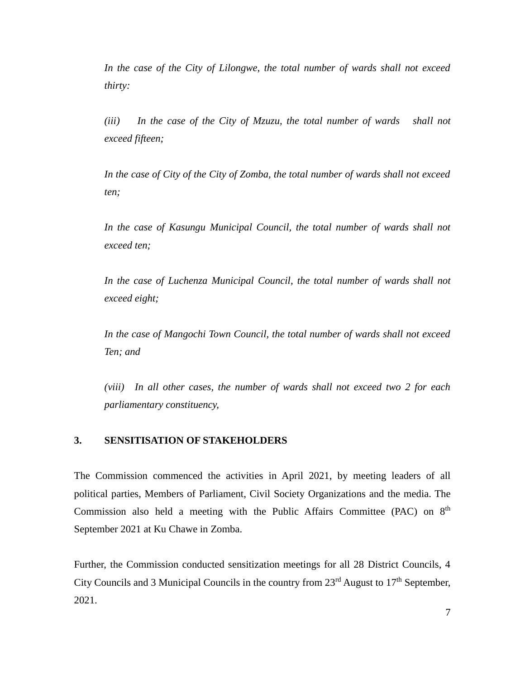*In the case of the City of Lilongwe, the total number of wards shall not exceed thirty:*

*(iii) In the case of the City of Mzuzu, the total number of wards shall not exceed fifteen;*

*In the case of City of the City of Zomba, the total number of wards shall not exceed ten;*

*In the case of Kasungu Municipal Council, the total number of wards shall not exceed ten;*

*In the case of Luchenza Municipal Council, the total number of wards shall not exceed eight;*

*In the case of Mangochi Town Council, the total number of wards shall not exceed Ten; and*

*(viii) In all other cases, the number of wards shall not exceed two 2 for each parliamentary constituency,*

# <span id="page-6-0"></span>**3. SENSITISATION OF STAKEHOLDERS**

The Commission commenced the activities in April 2021, by meeting leaders of all political parties, Members of Parliament, Civil Society Organizations and the media. The Commission also held a meeting with the Public Affairs Committee (PAC) on 8<sup>th</sup> September 2021 at Ku Chawe in Zomba.

Further, the Commission conducted sensitization meetings for all 28 District Councils, 4 City Councils and 3 Municipal Councils in the country from  $23<sup>rd</sup>$  August to  $17<sup>th</sup>$  September, 2021.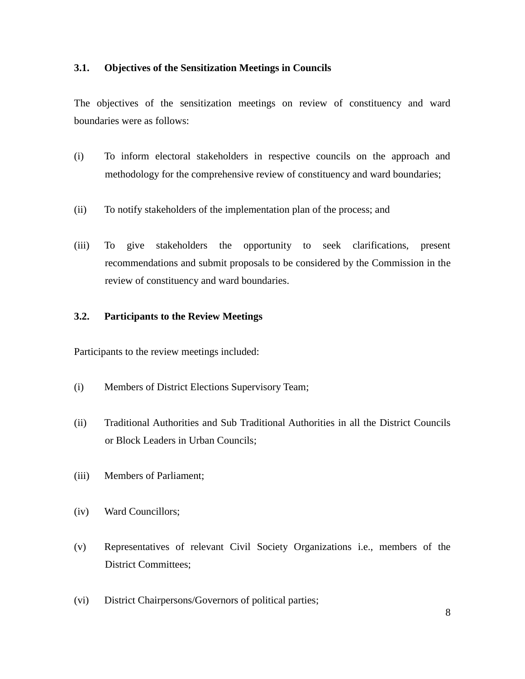### <span id="page-7-0"></span>**3.1. Objectives of the Sensitization Meetings in Councils**

The objectives of the sensitization meetings on review of constituency and ward boundaries were as follows:

- (i) To inform electoral stakeholders in respective councils on the approach and methodology for the comprehensive review of constituency and ward boundaries;
- (ii) To notify stakeholders of the implementation plan of the process; and
- (iii) To give stakeholders the opportunity to seek clarifications, present recommendations and submit proposals to be considered by the Commission in the review of constituency and ward boundaries.

# <span id="page-7-1"></span>**3.2. Participants to the Review Meetings**

Participants to the review meetings included:

- (i) Members of District Elections Supervisory Team;
- (ii) Traditional Authorities and Sub Traditional Authorities in all the District Councils or Block Leaders in Urban Councils;
- (iii) Members of Parliament;
- (iv) Ward Councillors;
- (v) Representatives of relevant Civil Society Organizations i.e., members of the District Committees;
- (vi) District Chairpersons/Governors of political parties;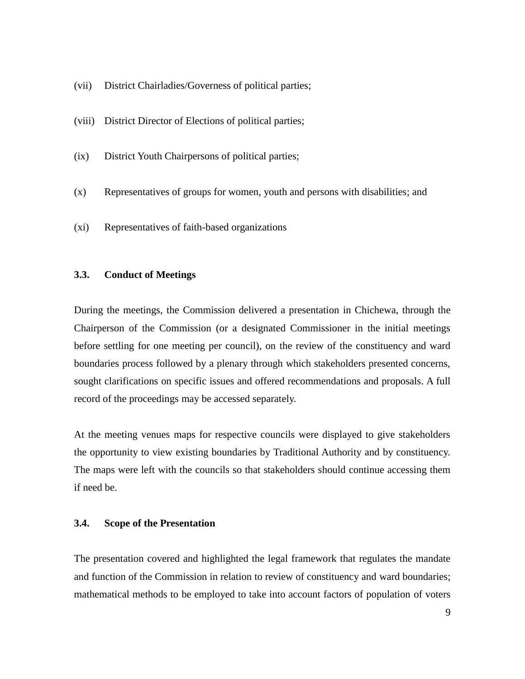- (vii) District Chairladies/Governess of political parties;
- (viii) District Director of Elections of political parties;
- (ix) District Youth Chairpersons of political parties;
- (x) Representatives of groups for women, youth and persons with disabilities; and
- (xi) Representatives of faith-based organizations

# <span id="page-8-0"></span>**3.3. Conduct of Meetings**

During the meetings, the Commission delivered a presentation in Chichewa, through the Chairperson of the Commission (or a designated Commissioner in the initial meetings before settling for one meeting per council), on the review of the constituency and ward boundaries process followed by a plenary through which stakeholders presented concerns, sought clarifications on specific issues and offered recommendations and proposals. A full record of the proceedings may be accessed separately.

At the meeting venues maps for respective councils were displayed to give stakeholders the opportunity to view existing boundaries by Traditional Authority and by constituency. The maps were left with the councils so that stakeholders should continue accessing them if need be.

#### <span id="page-8-1"></span>**3.4. Scope of the Presentation**

The presentation covered and highlighted the legal framework that regulates the mandate and function of the Commission in relation to review of constituency and ward boundaries; mathematical methods to be employed to take into account factors of population of voters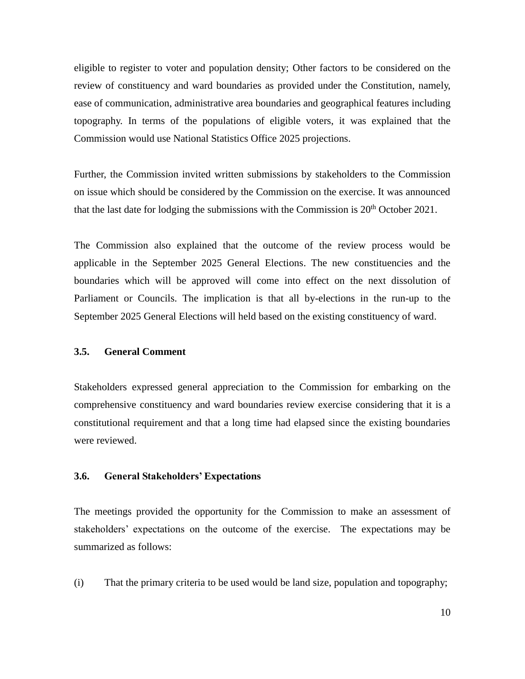eligible to register to voter and population density; Other factors to be considered on the review of constituency and ward boundaries as provided under the Constitution, namely, ease of communication, administrative area boundaries and geographical features including topography. In terms of the populations of eligible voters, it was explained that the Commission would use National Statistics Office 2025 projections.

Further, the Commission invited written submissions by stakeholders to the Commission on issue which should be considered by the Commission on the exercise. It was announced that the last date for lodging the submissions with the Commission is  $20<sup>th</sup>$  October 2021.

The Commission also explained that the outcome of the review process would be applicable in the September 2025 General Elections. The new constituencies and the boundaries which will be approved will come into effect on the next dissolution of Parliament or Councils. The implication is that all by-elections in the run-up to the September 2025 General Elections will held based on the existing constituency of ward.

#### <span id="page-9-0"></span>**3.5. General Comment**

Stakeholders expressed general appreciation to the Commission for embarking on the comprehensive constituency and ward boundaries review exercise considering that it is a constitutional requirement and that a long time had elapsed since the existing boundaries were reviewed.

# <span id="page-9-1"></span>**3.6. General Stakeholders' Expectations**

The meetings provided the opportunity for the Commission to make an assessment of stakeholders' expectations on the outcome of the exercise. The expectations may be summarized as follows:

(i) That the primary criteria to be used would be land size, population and topography;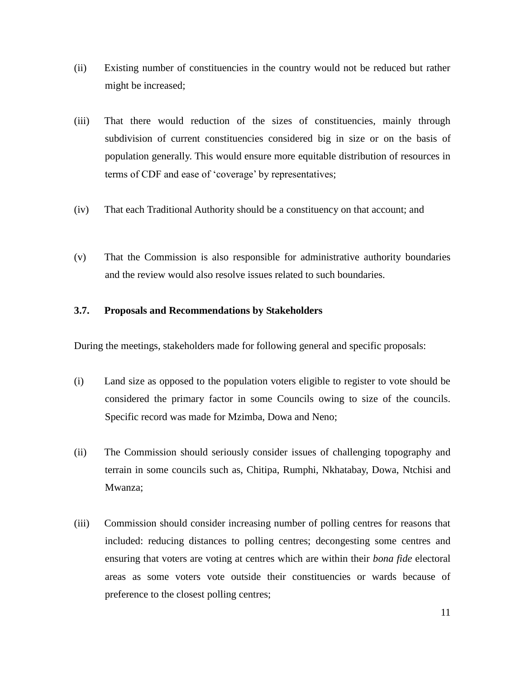- (ii) Existing number of constituencies in the country would not be reduced but rather might be increased;
- (iii) That there would reduction of the sizes of constituencies, mainly through subdivision of current constituencies considered big in size or on the basis of population generally. This would ensure more equitable distribution of resources in terms of CDF and ease of 'coverage' by representatives;
- (iv) That each Traditional Authority should be a constituency on that account; and
- (v) That the Commission is also responsible for administrative authority boundaries and the review would also resolve issues related to such boundaries.

#### <span id="page-10-0"></span>**3.7. Proposals and Recommendations by Stakeholders**

During the meetings, stakeholders made for following general and specific proposals:

- (i) Land size as opposed to the population voters eligible to register to vote should be considered the primary factor in some Councils owing to size of the councils. Specific record was made for Mzimba, Dowa and Neno;
- (ii) The Commission should seriously consider issues of challenging topography and terrain in some councils such as, Chitipa, Rumphi, Nkhatabay, Dowa, Ntchisi and Mwanza;
- (iii) Commission should consider increasing number of polling centres for reasons that included: reducing distances to polling centres; decongesting some centres and ensuring that voters are voting at centres which are within their *bona fide* electoral areas as some voters vote outside their constituencies or wards because of preference to the closest polling centres;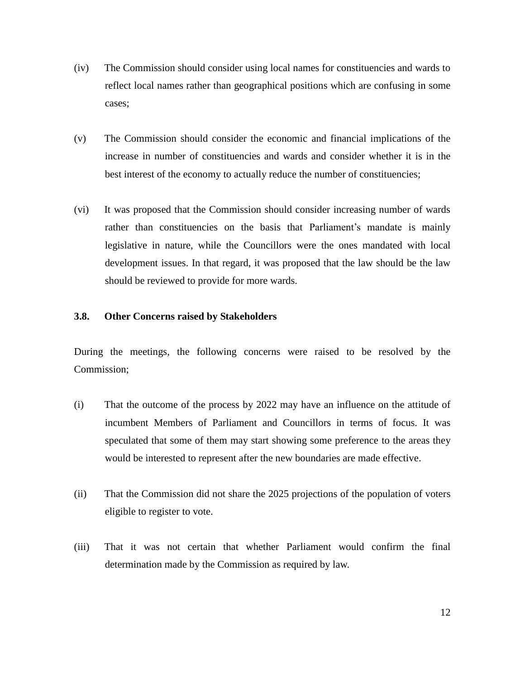- (iv) The Commission should consider using local names for constituencies and wards to reflect local names rather than geographical positions which are confusing in some cases;
- (v) The Commission should consider the economic and financial implications of the increase in number of constituencies and wards and consider whether it is in the best interest of the economy to actually reduce the number of constituencies;
- (vi) It was proposed that the Commission should consider increasing number of wards rather than constituencies on the basis that Parliament's mandate is mainly legislative in nature, while the Councillors were the ones mandated with local development issues. In that regard, it was proposed that the law should be the law should be reviewed to provide for more wards.

## <span id="page-11-0"></span>**3.8. Other Concerns raised by Stakeholders**

During the meetings, the following concerns were raised to be resolved by the Commission;

- (i) That the outcome of the process by 2022 may have an influence on the attitude of incumbent Members of Parliament and Councillors in terms of focus. It was speculated that some of them may start showing some preference to the areas they would be interested to represent after the new boundaries are made effective.
- (ii) That the Commission did not share the 2025 projections of the population of voters eligible to register to vote.
- (iii) That it was not certain that whether Parliament would confirm the final determination made by the Commission as required by law.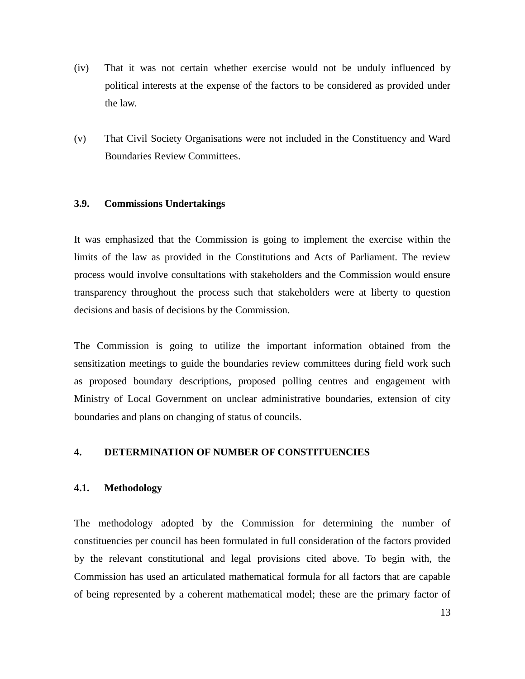- (iv) That it was not certain whether exercise would not be unduly influenced by political interests at the expense of the factors to be considered as provided under the law.
- (v) That Civil Society Organisations were not included in the Constituency and Ward Boundaries Review Committees.

# <span id="page-12-0"></span>**3.9. Commissions Undertakings**

It was emphasized that the Commission is going to implement the exercise within the limits of the law as provided in the Constitutions and Acts of Parliament. The review process would involve consultations with stakeholders and the Commission would ensure transparency throughout the process such that stakeholders were at liberty to question decisions and basis of decisions by the Commission.

The Commission is going to utilize the important information obtained from the sensitization meetings to guide the boundaries review committees during field work such as proposed boundary descriptions, proposed polling centres and engagement with Ministry of Local Government on unclear administrative boundaries, extension of city boundaries and plans on changing of status of councils.

# <span id="page-12-1"></span>**4. DETERMINATION OF NUMBER OF CONSTITUENCIES**

#### <span id="page-12-2"></span>**4.1. Methodology**

The methodology adopted by the Commission for determining the number of constituencies per council has been formulated in full consideration of the factors provided by the relevant constitutional and legal provisions cited above. To begin with, the Commission has used an articulated mathematical formula for all factors that are capable of being represented by a coherent mathematical model; these are the primary factor of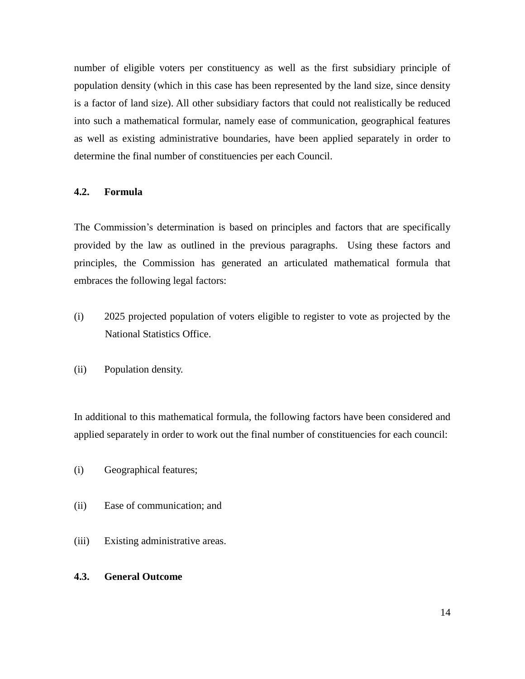number of eligible voters per constituency as well as the first subsidiary principle of population density (which in this case has been represented by the land size, since density is a factor of land size). All other subsidiary factors that could not realistically be reduced into such a mathematical formular, namely ease of communication, geographical features as well as existing administrative boundaries, have been applied separately in order to determine the final number of constituencies per each Council.

#### <span id="page-13-0"></span>**4.2. Formula**

The Commission's determination is based on principles and factors that are specifically provided by the law as outlined in the previous paragraphs. Using these factors and principles, the Commission has generated an articulated mathematical formula that embraces the following legal factors:

- (i) 2025 projected population of voters eligible to register to vote as projected by the National Statistics Office.
- (ii) Population density.

In additional to this mathematical formula, the following factors have been considered and applied separately in order to work out the final number of constituencies for each council:

- (i) Geographical features;
- (ii) Ease of communication; and
- (iii) Existing administrative areas.

# <span id="page-13-1"></span>**4.3. General Outcome**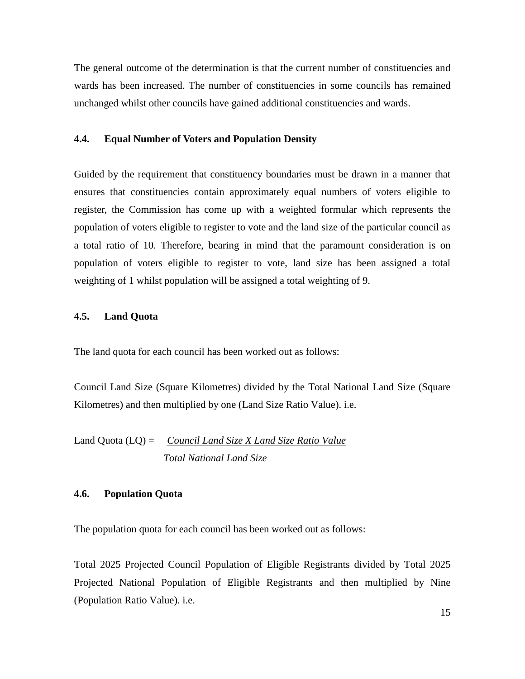The general outcome of the determination is that the current number of constituencies and wards has been increased. The number of constituencies in some councils has remained unchanged whilst other councils have gained additional constituencies and wards.

#### <span id="page-14-0"></span>**4.4. Equal Number of Voters and Population Density**

Guided by the requirement that constituency boundaries must be drawn in a manner that ensures that constituencies contain approximately equal numbers of voters eligible to register, the Commission has come up with a weighted formular which represents the population of voters eligible to register to vote and the land size of the particular council as a total ratio of 10. Therefore, bearing in mind that the paramount consideration is on population of voters eligible to register to vote, land size has been assigned a total weighting of 1 whilst population will be assigned a total weighting of 9.

# <span id="page-14-1"></span>**4.5. Land Quota**

The land quota for each council has been worked out as follows:

Council Land Size (Square Kilometres) divided by the Total National Land Size (Square Kilometres) and then multiplied by one (Land Size Ratio Value). i.e.

Land Quota (LQ) = *Council Land Size X Land Size Ratio Value Total National Land Size* 

# <span id="page-14-2"></span>**4.6. Population Quota**

The population quota for each council has been worked out as follows:

Total 2025 Projected Council Population of Eligible Registrants divided by Total 2025 Projected National Population of Eligible Registrants and then multiplied by Nine (Population Ratio Value). i.e.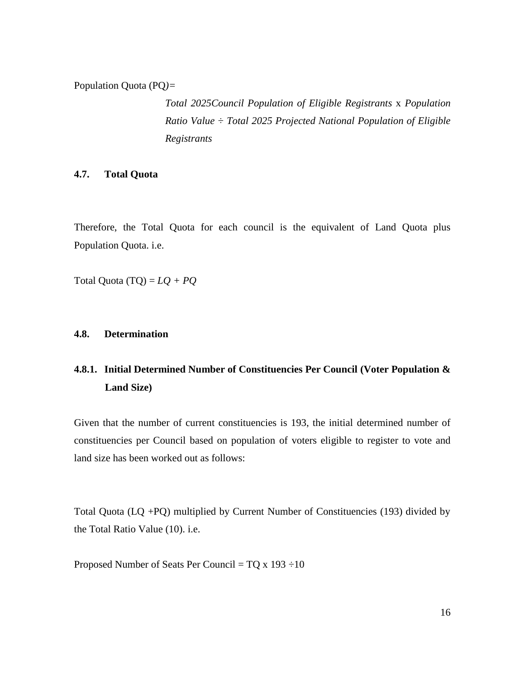Population Quota (PQ*)=*

*Total 2025Council Population of Eligible Registrants* x *Population Ratio Value ÷ Total 2025 Projected National Population of Eligible Registrants*

# <span id="page-15-0"></span>**4.7. Total Quota**

Therefore, the Total Quota for each council is the equivalent of Land Quota plus Population Quota. i.e.

Total Quota (TQ) = *LQ + PQ*

# <span id="page-15-1"></span>**4.8. Determination**

# <span id="page-15-2"></span>**4.8.1. Initial Determined Number of Constituencies Per Council (Voter Population & Land Size)**

Given that the number of current constituencies is 193, the initial determined number of constituencies per Council based on population of voters eligible to register to vote and land size has been worked out as follows:

Total Quota (LQ +PQ) multiplied by Current Number of Constituencies (193) divided by the Total Ratio Value (10). i.e.

Proposed Number of Seats Per Council = TQ x 193 *÷*10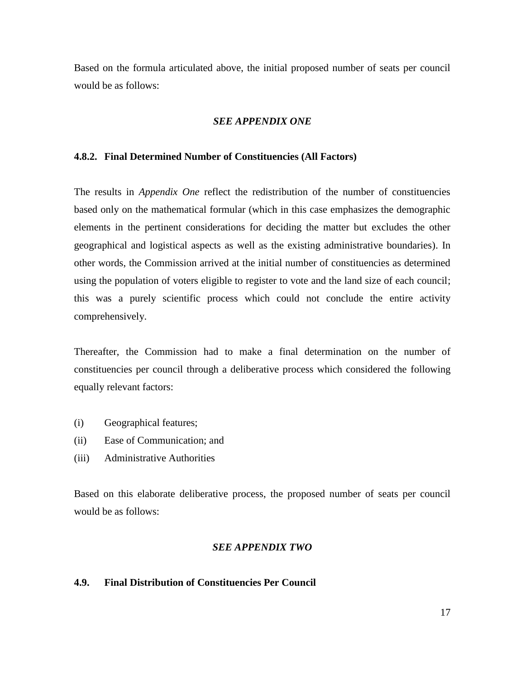Based on the formula articulated above, the initial proposed number of seats per council would be as follows:

#### *SEE APPENDIX ONE*

#### <span id="page-16-0"></span>**4.8.2. Final Determined Number of Constituencies (All Factors)**

The results in *Appendix One* reflect the redistribution of the number of constituencies based only on the mathematical formular (which in this case emphasizes the demographic elements in the pertinent considerations for deciding the matter but excludes the other geographical and logistical aspects as well as the existing administrative boundaries). In other words, the Commission arrived at the initial number of constituencies as determined using the population of voters eligible to register to vote and the land size of each council; this was a purely scientific process which could not conclude the entire activity comprehensively.

Thereafter, the Commission had to make a final determination on the number of constituencies per council through a deliberative process which considered the following equally relevant factors:

- (i) Geographical features;
- (ii) Ease of Communication; and
- (iii) Administrative Authorities

Based on this elaborate deliberative process, the proposed number of seats per council would be as follows:

## *SEE APPENDIX TWO*

#### <span id="page-16-1"></span>**4.9. Final Distribution of Constituencies Per Council**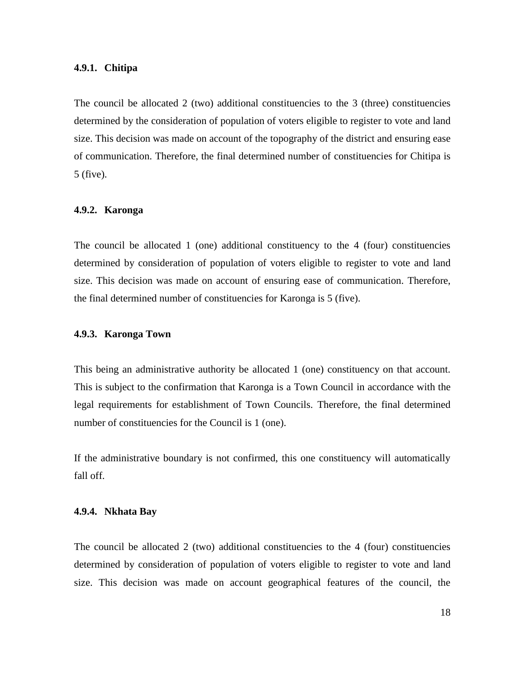#### <span id="page-17-0"></span>**4.9.1. Chitipa**

The council be allocated 2 (two) additional constituencies to the 3 (three) constituencies determined by the consideration of population of voters eligible to register to vote and land size. This decision was made on account of the topography of the district and ensuring ease of communication. Therefore, the final determined number of constituencies for Chitipa is 5 (five).

#### <span id="page-17-1"></span>**4.9.2. Karonga**

The council be allocated 1 (one) additional constituency to the 4 (four) constituencies determined by consideration of population of voters eligible to register to vote and land size. This decision was made on account of ensuring ease of communication. Therefore, the final determined number of constituencies for Karonga is 5 (five).

#### <span id="page-17-2"></span>**4.9.3. Karonga Town**

This being an administrative authority be allocated 1 (one) constituency on that account. This is subject to the confirmation that Karonga is a Town Council in accordance with the legal requirements for establishment of Town Councils. Therefore, the final determined number of constituencies for the Council is 1 (one).

If the administrative boundary is not confirmed, this one constituency will automatically fall off.

### <span id="page-17-3"></span>**4.9.4. Nkhata Bay**

The council be allocated 2 (two) additional constituencies to the 4 (four) constituencies determined by consideration of population of voters eligible to register to vote and land size. This decision was made on account geographical features of the council, the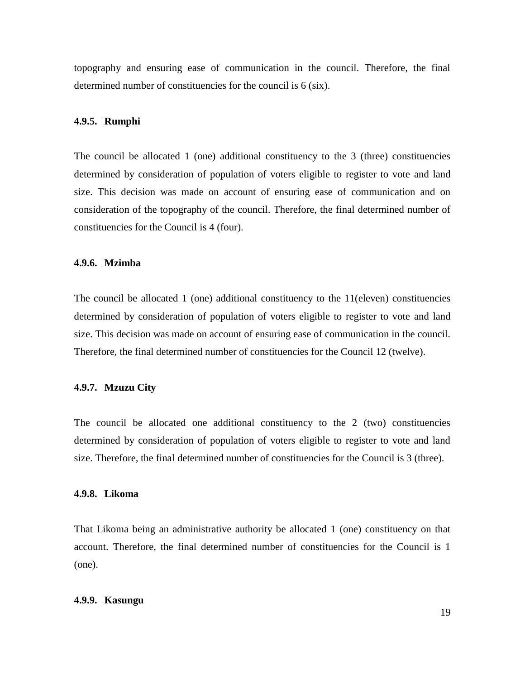topography and ensuring ease of communication in the council. Therefore, the final determined number of constituencies for the council is 6 (six).

#### <span id="page-18-0"></span>**4.9.5. Rumphi**

The council be allocated 1 (one) additional constituency to the 3 (three) constituencies determined by consideration of population of voters eligible to register to vote and land size. This decision was made on account of ensuring ease of communication and on consideration of the topography of the council. Therefore, the final determined number of constituencies for the Council is 4 (four).

#### <span id="page-18-1"></span>**4.9.6. Mzimba**

The council be allocated 1 (one) additional constituency to the 11(eleven) constituencies determined by consideration of population of voters eligible to register to vote and land size. This decision was made on account of ensuring ease of communication in the council. Therefore, the final determined number of constituencies for the Council 12 (twelve).

#### <span id="page-18-2"></span>**4.9.7. Mzuzu City**

The council be allocated one additional constituency to the 2 (two) constituencies determined by consideration of population of voters eligible to register to vote and land size. Therefore, the final determined number of constituencies for the Council is 3 (three).

#### <span id="page-18-3"></span>**4.9.8. Likoma**

That Likoma being an administrative authority be allocated 1 (one) constituency on that account. Therefore, the final determined number of constituencies for the Council is 1 (one).

#### <span id="page-18-4"></span>**4.9.9. Kasungu**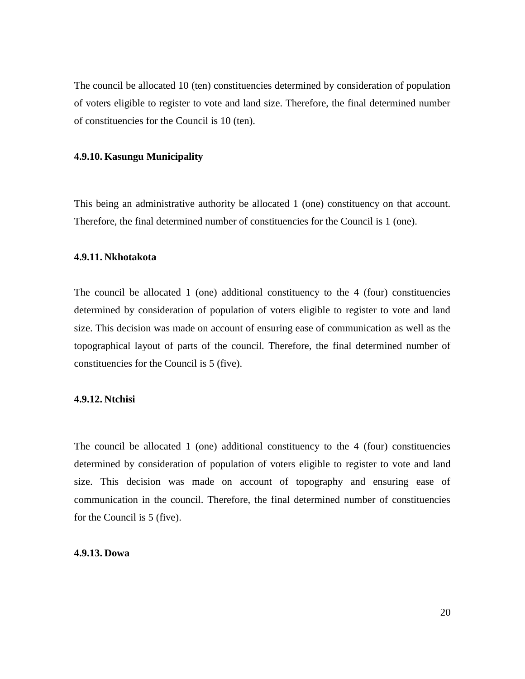The council be allocated 10 (ten) constituencies determined by consideration of population of voters eligible to register to vote and land size. Therefore, the final determined number of constituencies for the Council is 10 (ten).

#### <span id="page-19-0"></span>**4.9.10. Kasungu Municipality**

This being an administrative authority be allocated 1 (one) constituency on that account. Therefore, the final determined number of constituencies for the Council is 1 (one).

## <span id="page-19-1"></span>**4.9.11. Nkhotakota**

The council be allocated 1 (one) additional constituency to the 4 (four) constituencies determined by consideration of population of voters eligible to register to vote and land size. This decision was made on account of ensuring ease of communication as well as the topographical layout of parts of the council. Therefore, the final determined number of constituencies for the Council is 5 (five).

#### <span id="page-19-2"></span>**4.9.12. Ntchisi**

The council be allocated 1 (one) additional constituency to the 4 (four) constituencies determined by consideration of population of voters eligible to register to vote and land size. This decision was made on account of topography and ensuring ease of communication in the council. Therefore, the final determined number of constituencies for the Council is 5 (five).

#### <span id="page-19-3"></span>**4.9.13. Dowa**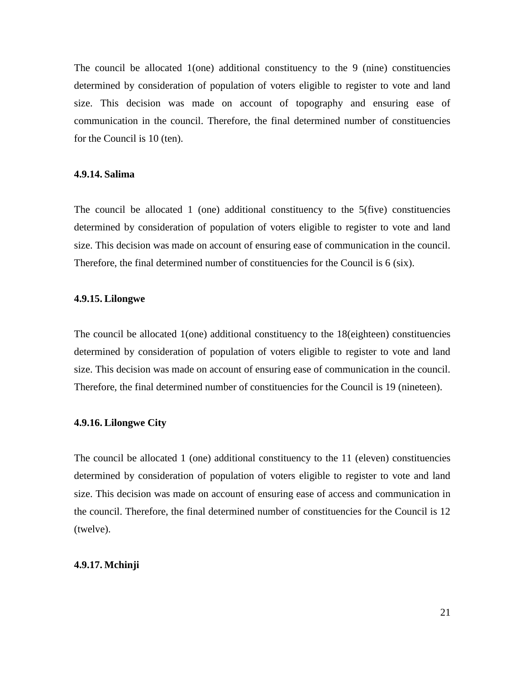The council be allocated 1(one) additional constituency to the 9 (nine) constituencies determined by consideration of population of voters eligible to register to vote and land size. This decision was made on account of topography and ensuring ease of communication in the council. Therefore, the final determined number of constituencies for the Council is 10 (ten).

#### <span id="page-20-0"></span>**4.9.14. Salima**

The council be allocated 1 (one) additional constituency to the 5(five) constituencies determined by consideration of population of voters eligible to register to vote and land size. This decision was made on account of ensuring ease of communication in the council. Therefore, the final determined number of constituencies for the Council is 6 (six).

#### <span id="page-20-1"></span>**4.9.15. Lilongwe**

The council be allocated 1(one) additional constituency to the 18(eighteen) constituencies determined by consideration of population of voters eligible to register to vote and land size. This decision was made on account of ensuring ease of communication in the council. Therefore, the final determined number of constituencies for the Council is 19 (nineteen).

#### <span id="page-20-2"></span>**4.9.16. Lilongwe City**

The council be allocated 1 (one) additional constituency to the 11 (eleven) constituencies determined by consideration of population of voters eligible to register to vote and land size. This decision was made on account of ensuring ease of access and communication in the council. Therefore, the final determined number of constituencies for the Council is 12 (twelve).

#### <span id="page-20-3"></span>**4.9.17. Mchinji**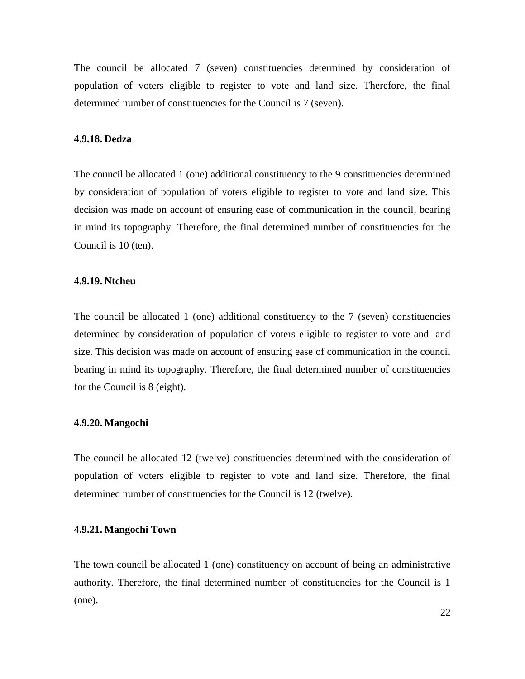The council be allocated 7 (seven) constituencies determined by consideration of population of voters eligible to register to vote and land size. Therefore, the final determined number of constituencies for the Council is 7 (seven).

#### <span id="page-21-0"></span>**4.9.18. Dedza**

The council be allocated 1 (one) additional constituency to the 9 constituencies determined by consideration of population of voters eligible to register to vote and land size. This decision was made on account of ensuring ease of communication in the council, bearing in mind its topography. Therefore, the final determined number of constituencies for the Council is 10 (ten).

#### <span id="page-21-1"></span>**4.9.19. Ntcheu**

The council be allocated 1 (one) additional constituency to the 7 (seven) constituencies determined by consideration of population of voters eligible to register to vote and land size. This decision was made on account of ensuring ease of communication in the council bearing in mind its topography. Therefore, the final determined number of constituencies for the Council is 8 (eight).

#### <span id="page-21-2"></span>**4.9.20. Mangochi**

The council be allocated 12 (twelve) constituencies determined with the consideration of population of voters eligible to register to vote and land size. Therefore, the final determined number of constituencies for the Council is 12 (twelve).

#### <span id="page-21-3"></span>**4.9.21. Mangochi Town**

The town council be allocated 1 (one) constituency on account of being an administrative authority. Therefore, the final determined number of constituencies for the Council is 1 (one).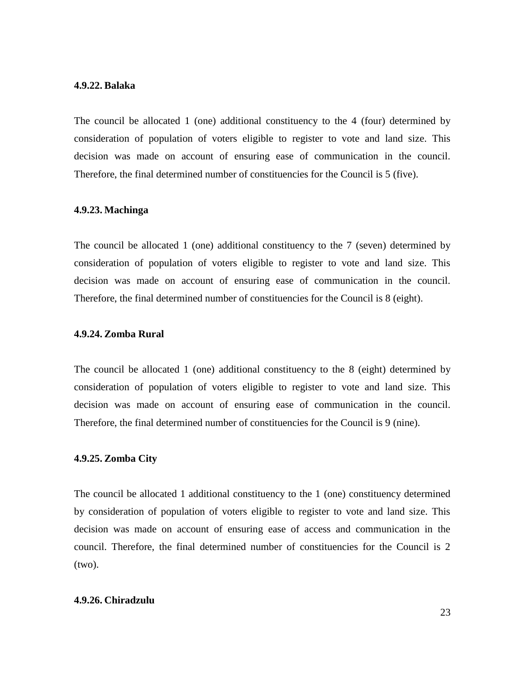#### <span id="page-22-0"></span>**4.9.22. Balaka**

The council be allocated 1 (one) additional constituency to the 4 (four) determined by consideration of population of voters eligible to register to vote and land size. This decision was made on account of ensuring ease of communication in the council. Therefore, the final determined number of constituencies for the Council is 5 (five).

#### <span id="page-22-1"></span>**4.9.23. Machinga**

The council be allocated 1 (one) additional constituency to the 7 (seven) determined by consideration of population of voters eligible to register to vote and land size. This decision was made on account of ensuring ease of communication in the council. Therefore, the final determined number of constituencies for the Council is 8 (eight).

#### <span id="page-22-2"></span>**4.9.24. Zomba Rural**

The council be allocated 1 (one) additional constituency to the 8 (eight) determined by consideration of population of voters eligible to register to vote and land size. This decision was made on account of ensuring ease of communication in the council. Therefore, the final determined number of constituencies for the Council is 9 (nine).

#### <span id="page-22-3"></span>**4.9.25. Zomba City**

The council be allocated 1 additional constituency to the 1 (one) constituency determined by consideration of population of voters eligible to register to vote and land size. This decision was made on account of ensuring ease of access and communication in the council. Therefore, the final determined number of constituencies for the Council is 2 (two).

#### <span id="page-22-4"></span>**4.9.26. Chiradzulu**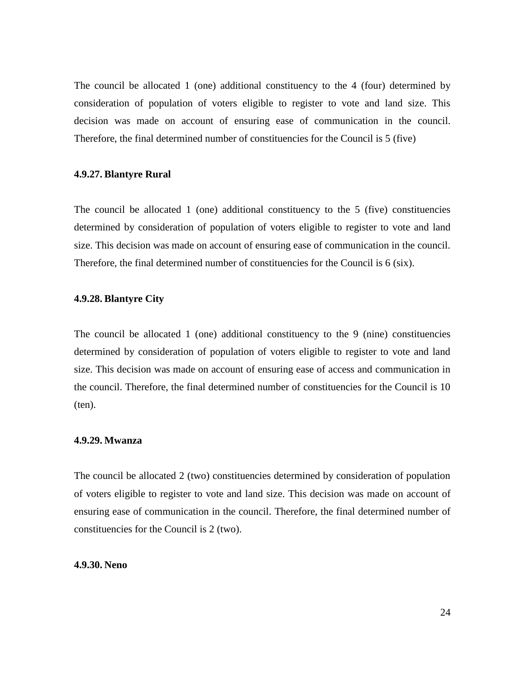The council be allocated 1 (one) additional constituency to the 4 (four) determined by consideration of population of voters eligible to register to vote and land size. This decision was made on account of ensuring ease of communication in the council. Therefore, the final determined number of constituencies for the Council is 5 (five)

#### <span id="page-23-0"></span>**4.9.27. Blantyre Rural**

The council be allocated 1 (one) additional constituency to the 5 (five) constituencies determined by consideration of population of voters eligible to register to vote and land size. This decision was made on account of ensuring ease of communication in the council. Therefore, the final determined number of constituencies for the Council is 6 (six).

#### <span id="page-23-1"></span>**4.9.28. Blantyre City**

The council be allocated 1 (one) additional constituency to the 9 (nine) constituencies determined by consideration of population of voters eligible to register to vote and land size. This decision was made on account of ensuring ease of access and communication in the council. Therefore, the final determined number of constituencies for the Council is 10 (ten).

### <span id="page-23-2"></span>**4.9.29. Mwanza**

The council be allocated 2 (two) constituencies determined by consideration of population of voters eligible to register to vote and land size. This decision was made on account of ensuring ease of communication in the council. Therefore, the final determined number of constituencies for the Council is 2 (two).

#### <span id="page-23-3"></span>**4.9.30. Neno**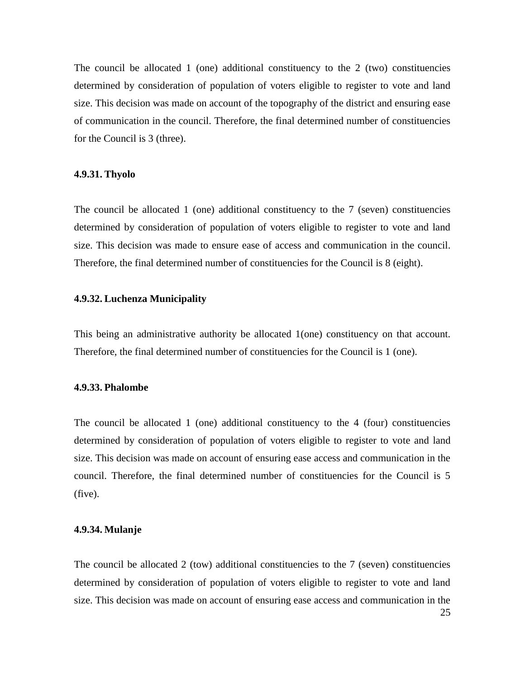The council be allocated 1 (one) additional constituency to the 2 (two) constituencies determined by consideration of population of voters eligible to register to vote and land size. This decision was made on account of the topography of the district and ensuring ease of communication in the council. Therefore, the final determined number of constituencies for the Council is 3 (three).

#### <span id="page-24-0"></span>**4.9.31. Thyolo**

The council be allocated 1 (one) additional constituency to the 7 (seven) constituencies determined by consideration of population of voters eligible to register to vote and land size. This decision was made to ensure ease of access and communication in the council. Therefore, the final determined number of constituencies for the Council is 8 (eight).

#### <span id="page-24-1"></span>**4.9.32. Luchenza Municipality**

This being an administrative authority be allocated 1(one) constituency on that account. Therefore, the final determined number of constituencies for the Council is 1 (one).

#### <span id="page-24-2"></span>**4.9.33. Phalombe**

The council be allocated 1 (one) additional constituency to the 4 (four) constituencies determined by consideration of population of voters eligible to register to vote and land size. This decision was made on account of ensuring ease access and communication in the council. Therefore, the final determined number of constituencies for the Council is 5 (five).

#### <span id="page-24-3"></span>**4.9.34. Mulanje**

The council be allocated 2 (tow) additional constituencies to the 7 (seven) constituencies determined by consideration of population of voters eligible to register to vote and land size. This decision was made on account of ensuring ease access and communication in the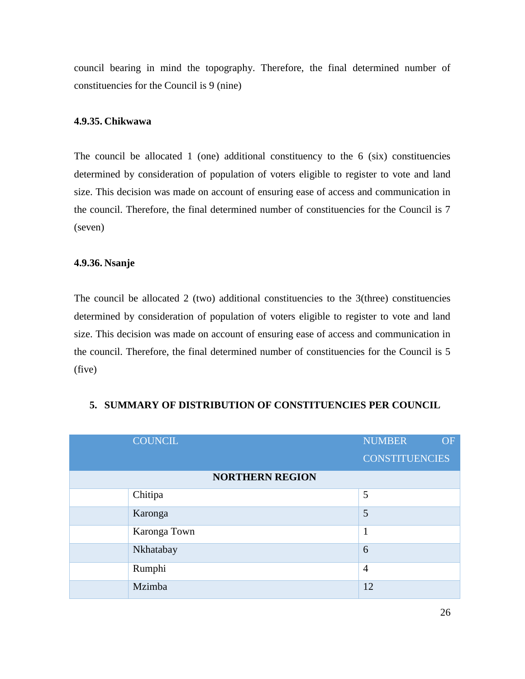council bearing in mind the topography. Therefore, the final determined number of constituencies for the Council is 9 (nine)

#### <span id="page-25-0"></span>**4.9.35. Chikwawa**

The council be allocated 1 (one) additional constituency to the 6 (six) constituencies determined by consideration of population of voters eligible to register to vote and land size. This decision was made on account of ensuring ease of access and communication in the council. Therefore, the final determined number of constituencies for the Council is 7 (seven)

#### <span id="page-25-1"></span>**4.9.36. Nsanje**

The council be allocated 2 (two) additional constituencies to the 3(three) constituencies determined by consideration of population of voters eligible to register to vote and land size. This decision was made on account of ensuring ease of access and communication in the council. Therefore, the final determined number of constituencies for the Council is 5 (five)

| <b>COUNCIL</b>         | <b>NUMBER</b>         | <b>OF</b> |  |
|------------------------|-----------------------|-----------|--|
|                        | <b>CONSTITUENCIES</b> |           |  |
| <b>NORTHERN REGION</b> |                       |           |  |
| Chitipa                | 5                     |           |  |
| Karonga                | 5                     |           |  |
| Karonga Town           | 1                     |           |  |
| Nkhatabay              | 6                     |           |  |
| Rumphi                 | $\overline{4}$        |           |  |
| Mzimba                 | 12                    |           |  |

#### <span id="page-25-2"></span>**5. SUMMARY OF DISTRIBUTION OF CONSTITUENCIES PER COUNCIL**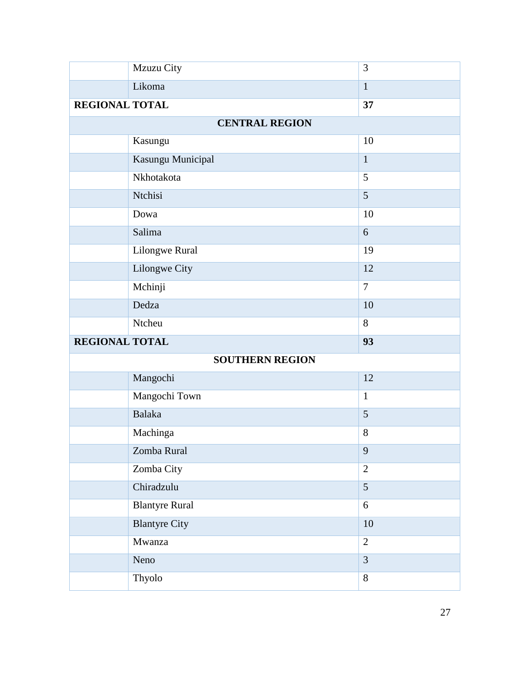|                       | Mzuzu City             | 3              |
|-----------------------|------------------------|----------------|
|                       | Likoma                 | $\mathbf{1}$   |
| <b>REGIONAL TOTAL</b> |                        | 37             |
|                       | <b>CENTRAL REGION</b>  |                |
|                       | Kasungu                | 10             |
|                       | Kasungu Municipal      | $\mathbf{1}$   |
|                       | Nkhotakota             | 5              |
|                       | Ntchisi                | 5              |
|                       | Dowa                   | 10             |
|                       | Salima                 | 6              |
|                       | Lilongwe Rural         | 19             |
|                       | Lilongwe City          | 12             |
|                       | Mchinji                | $\overline{7}$ |
|                       | Dedza                  | 10             |
|                       | Ntcheu                 | 8              |
| <b>REGIONAL TOTAL</b> |                        | 93             |
|                       | <b>SOUTHERN REGION</b> |                |
|                       | Mangochi               | 12             |
|                       | Mangochi Town          | $\mathbf{1}$   |
|                       | <b>Balaka</b>          | 5              |
|                       | Machinga               | 8              |
|                       | Zomba Rural            | 9              |
|                       | Zomba City             | $\overline{2}$ |
|                       | Chiradzulu             | 5              |
|                       | <b>Blantyre Rural</b>  | 6              |
|                       | <b>Blantyre City</b>   | 10             |
|                       | Mwanza                 | $\mathbf{2}$   |
|                       | Neno                   | $\overline{3}$ |
|                       |                        |                |